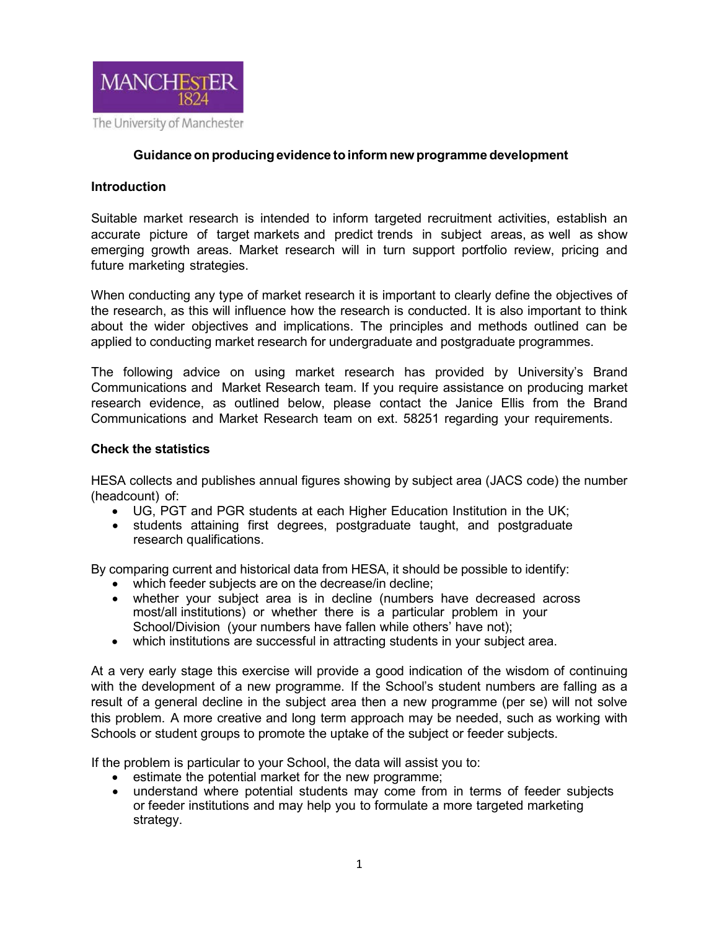

#### **Guidanceon producingevidence toinform new programme development**

#### **Introduction**

Suitable market research is intended to inform targeted recruitment activities, establish an accurate picture of target markets and predict trends in subject areas, as well as show emerging growth areas. Market research will in turn support portfolio review, pricing and future marketing strategies.

When conducting any type of market research it is important to clearly define the objectives of the research, as this will influence how the research is conducted. It is also important to think about the wider objectives and implications. The principles and methods outlined can be applied to conducting market research for undergraduate and postgraduate programmes.

The following advice on using market research has provided by University's Brand Communications and Market Research team. If you require assistance on producing market research evidence, as outlined below, please contact the Janice Ellis from the Brand Communications and Market Research team on ext. 58251 regarding your requirements.

#### **Check the statistics**

HESA collects and publishes annual figures showing by subject area (JACS code) the number (headcount) of:

- UG, PGT and PGR students at each Higher Education Institution in the UK;
- students attaining first degrees, postgraduate taught, and postgraduate research qualifications.

By comparing current and historical data from HESA, it should be possible to identify:

- which feeder subjects are on the decrease/in decline:
- whether your subject area is in decline (numbers have decreased across most/all institutions) or whether there is a particular problem in your School/Division (your numbers have fallen while others' have not);
- which institutions are successful in attracting students in your subject area.

At a very early stage this exercise will provide a good indication of the wisdom of continuing with the development of a new programme. If the School's student numbers are falling as a result of a general decline in the subject area then a new programme (per se) will not solve this problem. A more creative and long term approach may be needed, such as working with Schools or student groups to promote the uptake of the subject or feeder subjects.

If the problem is particular to your School, the data will assist you to:

- estimate the potential market for the new programme;
- understand where potential students may come from in terms of feeder subjects or feeder institutions and may help you to formulate a more targeted marketing strategy.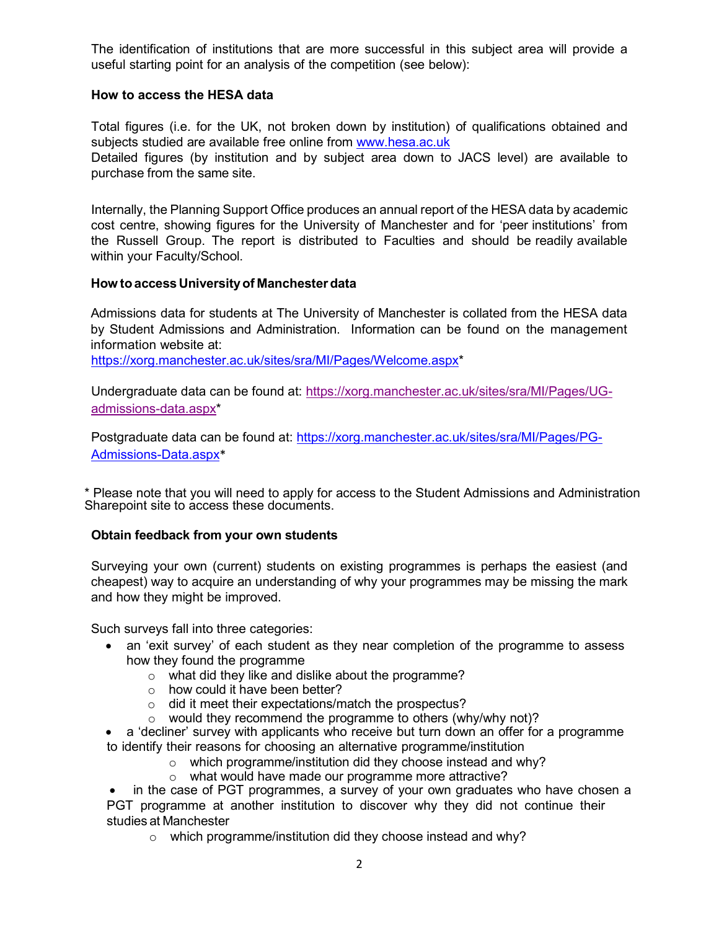The identification of institutions that are more successful in this subject area will provide a useful starting point for an analysis of the competition (see below):

## **How to access the HESA data**

Total figures (i.e. for the UK, not broken down by institution) of qualifications obtained and subjects studied are available free online from [www.hesa.ac.uk](http://www.hesa.ac.uk/) Detailed figures (by institution and by subject area down to JACS level) are available to purchase from the same site.

Internally, the Planning Support Office produces an annual report of the HESA data by academic cost centre, showing figures for the University of Manchester and for 'peer institutions' from the Russell Group. The report is distributed to Faculties and should be readily available within your Faculty/School.

# **How toaccess Universityof Manchesterdata**

Admissions data for students at The University of Manchester is collated from the HESA data by Student Admissions and Administration. Information can be found on the management information website at:

[https://xorg.manchester.ac.uk/sites/sra/MI/Pages/Welcome.aspx\\*](https://xorg.manchester.ac.uk/sites/sra/MI/Pages/Welcome.aspx)

Undergraduate data can be found at: [https://xorg.manchester.ac.uk/sites/sra/MI/Pages/UG](https://xorg.manchester.ac.uk/sites/sra/MI/Pages/UG-admissions-data.aspx)[admissions-data.aspx\\*](https://xorg.manchester.ac.uk/sites/sra/MI/Pages/UG-admissions-data.aspx)

Postgraduate data can be found at: [https://xorg.manchester.ac.uk/sites/sra/MI/Pages/PG-](https://xorg.manchester.ac.uk/sites/sra/MI/Pages/PG-Admissions-Data.aspx)[Admissions-Data.aspx](https://xorg.manchester.ac.uk/sites/sra/MI/Pages/PG-Admissions-Data.aspx)\*

\* Please note that you will need to apply for access to the Student Admissions and Administration Sharepoint site to access these documents.

## **Obtain feedback from your own students**

Surveying your own (current) students on existing programmes is perhaps the easiest (and cheapest) way to acquire an understanding of why your programmes may be missing the mark and how they might be improved.

Such surveys fall into three categories:

- an 'exit survey' of each student as they near completion of the programme to assess how they found the programme
	- o what did they like and dislike about the programme?
	- o how could it have been better?
	- o did it meet their expectations/match the prospectus?
	- $\circ$  would they recommend the programme to others (why/why not)?
- a 'decliner' survey with applicants who receive but turn down an offer for a programme to identify their reasons for choosing an alternative programme/institution
	- o which programme/institution did they choose instead and why?
	- o what would have made our programme more attractive?

in the case of PGT programmes, a survey of your own graduates who have chosen a PGT programme at another institution to discover why they did not continue their studies at Manchester

o which programme/institution did they choose instead and why?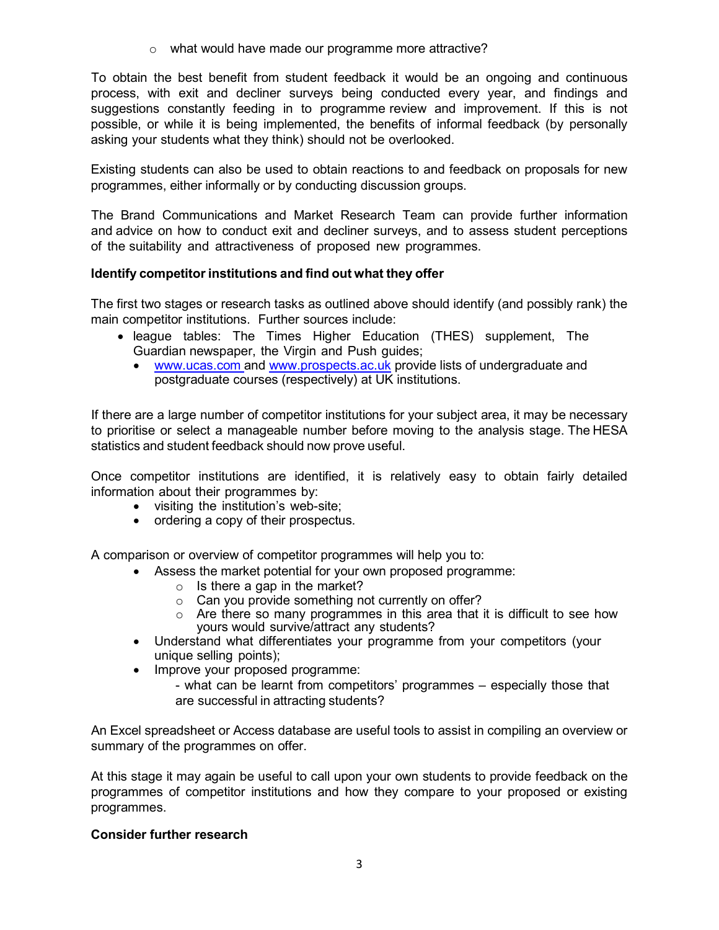o what would have made our programme more attractive?

To obtain the best benefit from student feedback it would be an ongoing and continuous process, with exit and decliner surveys being conducted every year, and findings and suggestions constantly feeding in to programme review and improvement. If this is not possible, or while it is being implemented, the benefits of informal feedback (by personally asking your students what they think) should not be overlooked.

Existing students can also be used to obtain reactions to and feedback on proposals for new programmes, either informally or by conducting discussion groups.

The Brand Communications and Market Research Team can provide further information and advice on how to conduct exit and decliner surveys, and to assess student perceptions of the suitability and attractiveness of proposed new programmes.

# **Identify competitor institutions and find out what they offer**

The first two stages or research tasks as outlined above should identify (and possibly rank) the main competitor institutions. Further sources include:

- league tables: The Times Higher Education (THES) supplement, The Guardian newspaper, the Virgin and Push guides;
	- [www.ucas.com](http://www.ucas.com/) and [www.prospects.ac.uk](https://www.prospects.ac.uk/) provide lists of undergraduate and postgraduate courses (respectively) at UK institutions.

If there are a large number of competitor institutions for your subject area, it may be necessary to prioritise or select a manageable number before moving to the analysis stage. The HESA statistics and student feedback should now prove useful.

Once competitor institutions are identified, it is relatively easy to obtain fairly detailed information about their programmes by:

- visiting the institution's web-site;
- ordering a copy of their prospectus.

A comparison or overview of competitor programmes will help you to:

- Assess the market potential for your own proposed programme:
	- $\circ$  Is there a gap in the market?
	- $\circ$   $\,$  Can you provide something not currently on offer?
	- $\circ$  Are there so many programmes in this area that it is difficult to see how yours would survive/attract any students?
- Understand what differentiates your programme from your competitors (your unique selling points);
- Improve your proposed programme:
	- what can be learnt from competitors' programmes especially those that are successful in attracting students?

An Excel spreadsheet or Access database are useful tools to assist in compiling an overview or summary of the programmes on offer.

At this stage it may again be useful to call upon your own students to provide feedback on the programmes of competitor institutions and how they compare to your proposed or existing programmes.

## **Consider further research**